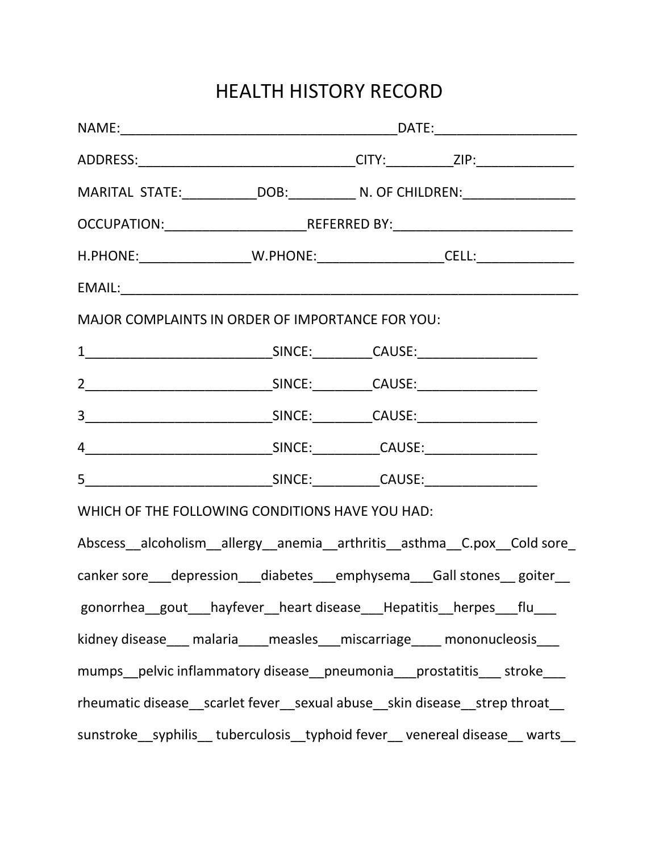## HEALTH HISTORY RECORD

|                                                                                                     |                                                                                  |  | ADDRESS:__________________________________CITY:___________ZIP:__________________ |
|-----------------------------------------------------------------------------------------------------|----------------------------------------------------------------------------------|--|----------------------------------------------------------------------------------|
|                                                                                                     |                                                                                  |  |                                                                                  |
|                                                                                                     | OCCUPATION:_______________________________REFERRED BY:__________________________ |  |                                                                                  |
|                                                                                                     |                                                                                  |  |                                                                                  |
| EMAIL: EMAIL: And All And All And All And All And All And All And All And All And All And All And A |                                                                                  |  |                                                                                  |
| MAJOR COMPLAINTS IN ORDER OF IMPORTANCE FOR YOU:                                                    |                                                                                  |  |                                                                                  |
|                                                                                                     |                                                                                  |  |                                                                                  |
|                                                                                                     |                                                                                  |  |                                                                                  |
|                                                                                                     |                                                                                  |  |                                                                                  |
|                                                                                                     |                                                                                  |  |                                                                                  |
|                                                                                                     |                                                                                  |  |                                                                                  |
| WHICH OF THE FOLLOWING CONDITIONS HAVE YOU HAD:                                                     |                                                                                  |  |                                                                                  |
|                                                                                                     |                                                                                  |  | Abscess_alcoholism_allergy_anemia_arthritis_asthma_C.pox_Cold sore_              |
|                                                                                                     |                                                                                  |  | canker sore___depression___diabetes___emphysema___Gall stones__ goiter__         |
| gonorrhea_gout__hayfever_heart disease__Hepatitis_herpes__flu__                                     |                                                                                  |  |                                                                                  |
|                                                                                                     |                                                                                  |  | kidney disease___ malaria____measles___miscarriage____ mononucleosis___          |
|                                                                                                     |                                                                                  |  | mumps_pelvic inflammatory disease_pneumonia_prostatitis___ stroke__              |
|                                                                                                     |                                                                                  |  | rheumatic disease__scarlet fever__sexual abuse__skin disease__strep throat__     |
|                                                                                                     |                                                                                  |  | sunstroke__syphilis__ tuberculosis__typhoid fever__ venereal disease__ warts__   |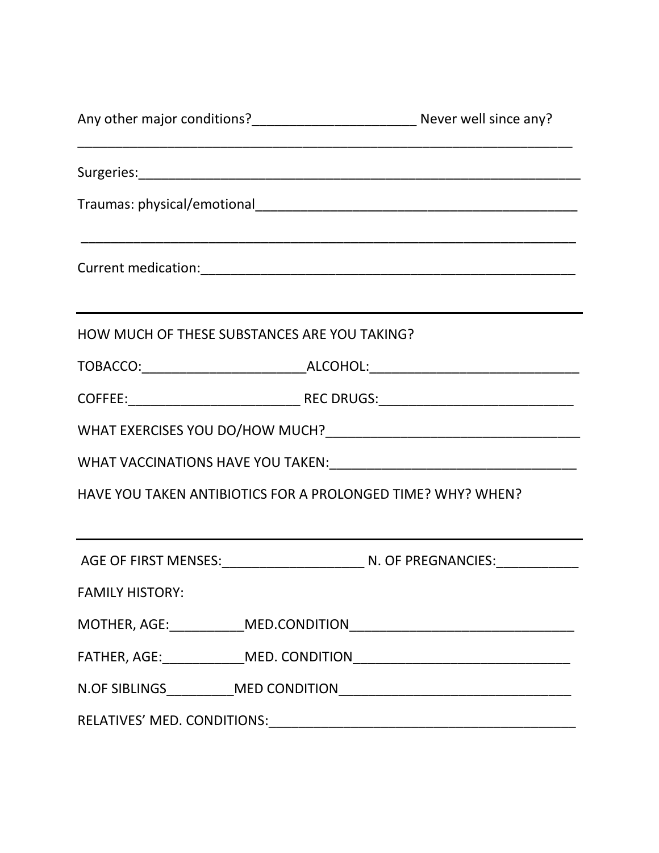|                                                             | <u> 1919 - Johann John Harrison, mars eta bat eta bat eta bat eta bat eta bat eta bat eta bat eta bat eta bat e</u> |
|-------------------------------------------------------------|---------------------------------------------------------------------------------------------------------------------|
|                                                             |                                                                                                                     |
|                                                             |                                                                                                                     |
|                                                             |                                                                                                                     |
| HOW MUCH OF THESE SUBSTANCES ARE YOU TAKING?                | ,我们也不能在这里的时候,我们也不能会在这里,我们也不能会在这里的时候,我们也不能会在这里的时候,我们也不能会在这里的时候,我们也不能会在这里的时候,我们也不能                                    |
|                                                             |                                                                                                                     |
|                                                             |                                                                                                                     |
|                                                             |                                                                                                                     |
|                                                             |                                                                                                                     |
| HAVE YOU TAKEN ANTIBIOTICS FOR A PROLONGED TIME? WHY? WHEN? |                                                                                                                     |
|                                                             |                                                                                                                     |
| <b>FAMILY HISTORY:</b>                                      |                                                                                                                     |
|                                                             |                                                                                                                     |
|                                                             |                                                                                                                     |
|                                                             |                                                                                                                     |
|                                                             |                                                                                                                     |